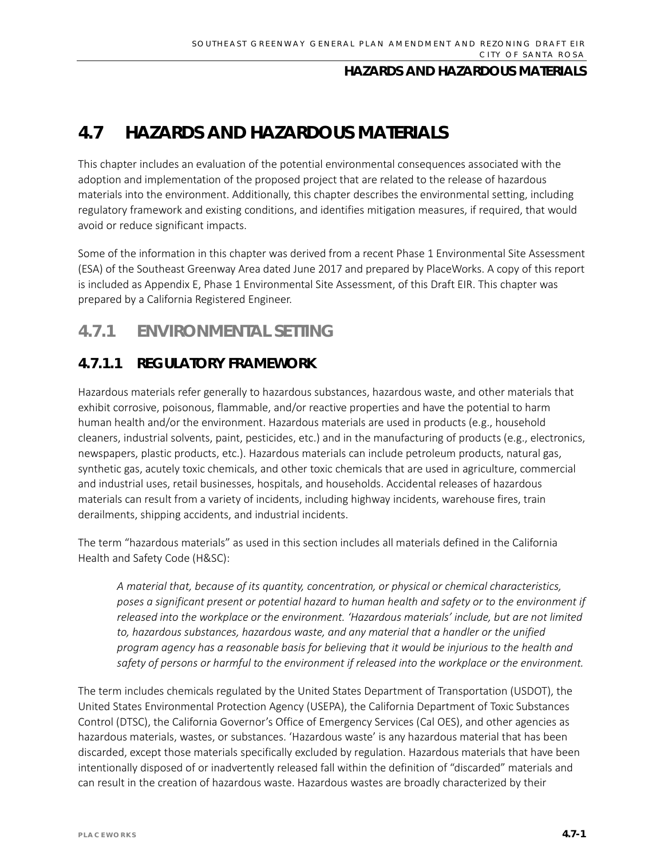# **4.7 HAZARDS AND HAZARDOUS MATERIALS**

This chapter includes an evaluation of the potential environmental consequences associated with the adoption and implementation of the proposed project that are related to the release of hazardous materials into the environment. Additionally, this chapter describes the environmental setting, including regulatory framework and existing conditions, and identifies mitigation measures, if required, that would avoid or reduce significant impacts.

Some of the information in this chapter was derived from a recent Phase 1 Environmental Site Assessment (ESA) of the Southeast Greenway Area dated June 2017 and prepared by PlaceWorks. A copy of this report is included as Appendix E, Phase 1 Environmental Site Assessment, of this Draft EIR. This chapter was prepared by a California Registered Engineer.

# **4.7.1 ENVIRONMENTAL SETTING**

### **4.7.1.1 REGULATORY FRAMEWORK**

Hazardous materials refer generally to hazardous substances, hazardous waste, and other materials that exhibit corrosive, poisonous, flammable, and/or reactive properties and have the potential to harm human health and/or the environment. Hazardous materials are used in products (e.g., household cleaners, industrial solvents, paint, pesticides, etc.) and in the manufacturing of products (e.g., electronics, newspapers, plastic products, etc.). Hazardous materials can include petroleum products, natural gas, synthetic gas, acutely toxic chemicals, and other toxic chemicals that are used in agriculture, commercial and industrial uses, retail businesses, hospitals, and households. Accidental releases of hazardous materials can result from a variety of incidents, including highway incidents, warehouse fires, train derailments, shipping accidents, and industrial incidents.

The term "hazardous materials" as used in this section includes all materials defined in the California Health and Safety Code (H&SC):

*A material that, because of its quantity, concentration, or physical or chemical characteristics, poses a significant present or potential hazard to human health and safety or to the environment if released into the workplace or the environment. 'Hazardous materials' include, but are not limited to, hazardous substances, hazardous waste, and any material that a handler or the unified program agency has a reasonable basis for believing that it would be injurious to the health and safety of persons or harmful to the environment if released into the workplace or the environment.*

The term includes chemicals regulated by the United States Department of Transportation (USDOT), the United States Environmental Protection Agency (USEPA), the California Department of Toxic Substances Control (DTSC), the California Governor's Office of Emergency Services (Cal OES), and other agencies as hazardous materials, wastes, or substances. 'Hazardous waste' is any hazardous material that has been discarded, except those materials specifically excluded by regulation. Hazardous materials that have been intentionally disposed of or inadvertently released fall within the definition of "discarded" materials and can result in the creation of hazardous waste. Hazardous wastes are broadly characterized by their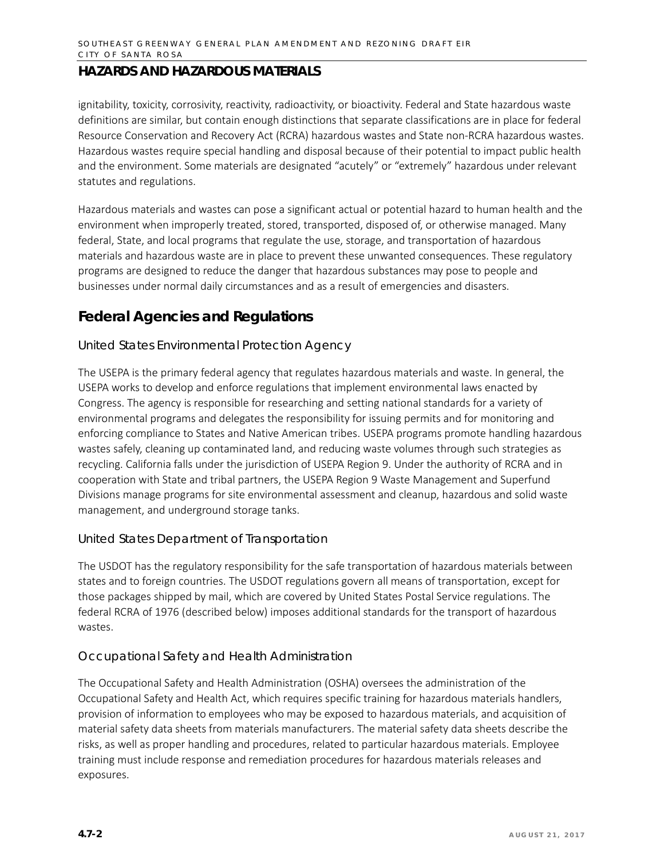ignitability, toxicity, corrosivity, reactivity, radioactivity, or bioactivity. Federal and State hazardous waste definitions are similar, but contain enough distinctions that separate classifications are in place for federal Resource Conservation and Recovery Act (RCRA) hazardous wastes and State non-RCRA hazardous wastes. Hazardous wastes require special handling and disposal because of their potential to impact public health and the environment. Some materials are designated "acutely" or "extremely" hazardous under relevant statutes and regulations.

Hazardous materials and wastes can pose a significant actual or potential hazard to human health and the environment when improperly treated, stored, transported, disposed of, or otherwise managed. Many federal, State, and local programs that regulate the use, storage, and transportation of hazardous materials and hazardous waste are in place to prevent these unwanted consequences. These regulatory programs are designed to reduce the danger that hazardous substances may pose to people and businesses under normal daily circumstances and as a result of emergencies and disasters.

## **Federal Agencies and Regulations**

### *United States Environmental Protection Agency*

The USEPA is the primary federal agency that regulates hazardous materials and waste. In general, the USEPA works to develop and enforce regulations that implement environmental laws enacted by Congress. The agency is responsible for researching and setting national standards for a variety of environmental programs and delegates the responsibility for issuing permits and for monitoring and enforcing compliance to States and Native American tribes. USEPA programs promote handling hazardous wastes safely, cleaning up contaminated land, and reducing waste volumes through such strategies as recycling. California falls under the jurisdiction of USEPA Region 9. Under the authority of RCRA and in cooperation with State and tribal partners, the USEPA Region 9 Waste Management and Superfund Divisions manage programs for site environmental assessment and cleanup, hazardous and solid waste management, and underground storage tanks.

#### *United States Department of Transportation*

The USDOT has the regulatory responsibility for the safe transportation of hazardous materials between states and to foreign countries. The USDOT regulations govern all means of transportation, except for those packages shipped by mail, which are covered by United States Postal Service regulations. The federal RCRA of 1976 (described below) imposes additional standards for the transport of hazardous wastes.

#### *Occupational Safety and Health Administration*

The Occupational Safety and Health Administration (OSHA) oversees the administration of the Occupational Safety and Health Act, which requires specific training for hazardous materials handlers, provision of information to employees who may be exposed to hazardous materials, and acquisition of material safety data sheets from materials manufacturers. The material safety data sheets describe the risks, as well as proper handling and procedures, related to particular hazardous materials. Employee training must include response and remediation procedures for hazardous materials releases and exposures.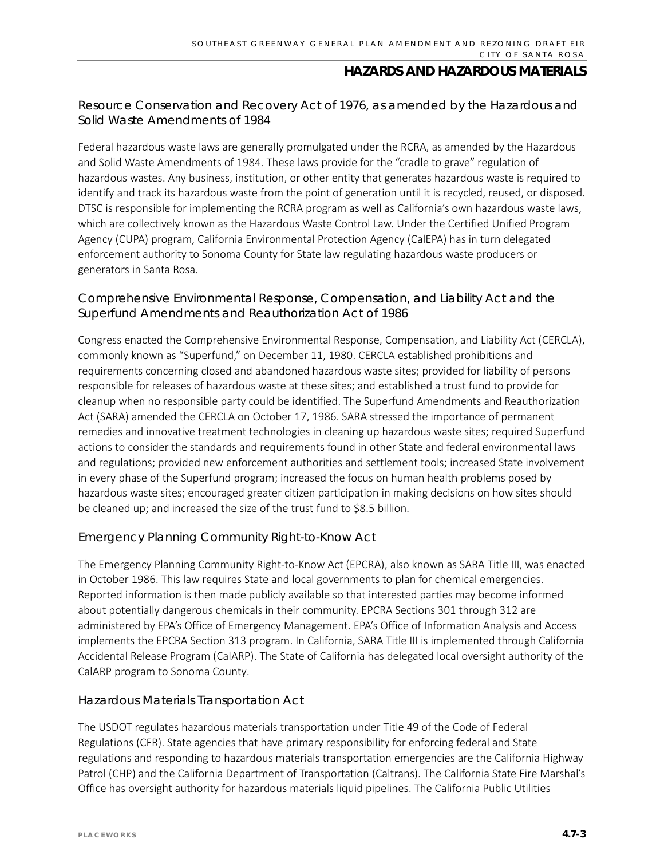### *Resource Conservation and Recovery Act of 1976, as amended by the Hazardous and Solid Waste Amendments of 1984*

Federal hazardous waste laws are generally promulgated under the RCRA, as amended by the Hazardous and Solid Waste Amendments of 1984. These laws provide for the "cradle to grave" regulation of hazardous wastes. Any business, institution, or other entity that generates hazardous waste is required to identify and track its hazardous waste from the point of generation until it is recycled, reused, or disposed. DTSC is responsible for implementing the RCRA program as well as California's own hazardous waste laws, which are collectively known as the Hazardous Waste Control Law. Under the Certified Unified Program Agency (CUPA) program, California Environmental Protection Agency (CalEPA) has in turn delegated enforcement authority to Sonoma County for State law regulating hazardous waste producers or generators in Santa Rosa.

### *Comprehensive Environmental Response, Compensation, and Liability Act and the Superfund Amendments and Reauthorization Act of 1986*

Congress enacted the Comprehensive Environmental Response, Compensation, and Liability Act (CERCLA), commonly known as "Superfund," on December 11, 1980. CERCLA established prohibitions and requirements concerning closed and abandoned hazardous waste sites; provided for liability of persons responsible for releases of hazardous waste at these sites; and established a trust fund to provide for cleanup when no responsible party could be identified. The Superfund Amendments and Reauthorization Act (SARA) amended the CERCLA on October 17, 1986. SARA stressed the importance of permanent remedies and innovative treatment technologies in cleaning up hazardous waste sites; required Superfund actions to consider the standards and requirements found in other State and federal environmental laws and regulations; provided new enforcement authorities and settlement tools; increased State involvement in every phase of the Superfund program; increased the focus on human health problems posed by hazardous waste sites; encouraged greater citizen participation in making decisions on how sites should be cleaned up; and increased the size of the trust fund to \$8.5 billion.

### *Emergency Planning Community Right-to-Know Act*

The Emergency Planning Community Right-to-Know Act (EPCRA), also known as SARA Title III, was enacted in October 1986. This law requires State and local governments to plan for chemical emergencies. Reported information is then made publicly available so that interested parties may become informed about potentially dangerous chemicals in their community. EPCRA Sections 301 through 312 are administered by EPA's Office of Emergency Management. EPA's Office of Information Analysis and Access implements the EPCRA Section 313 program. In California, SARA Title III is implemented through California Accidental Release Program (CalARP). The State of California has delegated local oversight authority of the CalARP program to Sonoma County.

#### *Hazardous Materials Transportation Act*

The USDOT regulates hazardous materials transportation under Title 49 of the Code of Federal Regulations (CFR). State agencies that have primary responsibility for enforcing federal and State regulations and responding to hazardous materials transportation emergencies are the California Highway Patrol (CHP) and the California Department of Transportation (Caltrans). The California State Fire Marshal's Office has oversight authority for hazardous materials liquid pipelines. The California Public Utilities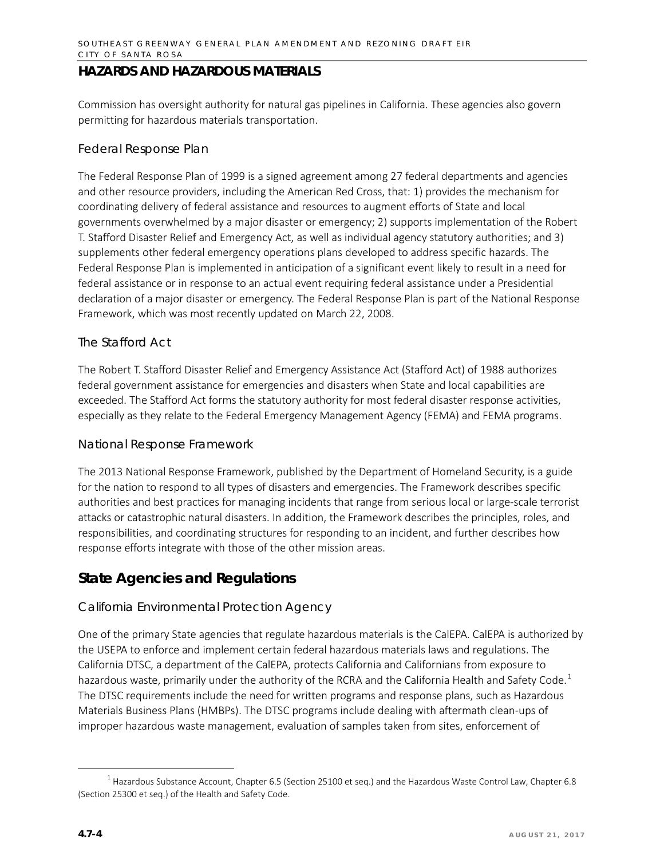Commission has oversight authority for natural gas pipelines in California. These agencies also govern permitting for hazardous materials transportation.

#### *Federal Response Plan*

The Federal Response Plan of 1999 is a signed agreement among 27 federal departments and agencies and other resource providers, including the American Red Cross, that: 1) provides the mechanism for coordinating delivery of federal assistance and resources to augment efforts of State and local governments overwhelmed by a major disaster or emergency; 2) supports implementation of the Robert T. Stafford Disaster Relief and Emergency Act, as well as individual agency statutory authorities; and 3) supplements other federal emergency operations plans developed to address specific hazards. The Federal Response Plan is implemented in anticipation of a significant event likely to result in a need for federal assistance or in response to an actual event requiring federal assistance under a Presidential declaration of a major disaster or emergency. The Federal Response Plan is part of the National Response Framework, which was most recently updated on March 22, 2008.

### *The Stafford Act*

The Robert T. Stafford Disaster Relief and Emergency Assistance Act (Stafford Act) of 1988 authorizes federal government assistance for emergencies and disasters when State and local capabilities are exceeded. The Stafford Act forms the statutory authority for most federal disaster response activities, especially as they relate to the Federal Emergency Management Agency (FEMA) and FEMA programs.

#### *National Response Framework*

The 2013 National Response Framework, published by the Department of Homeland Security, is a guide for the nation to respond to all types of disasters and emergencies. The Framework describes specific authorities and best practices for managing incidents that range from serious local or large-scale terrorist attacks or catastrophic natural disasters. In addition, the Framework describes the principles, roles, and responsibilities, and coordinating structures for responding to an incident, and further describes how response efforts integrate with those of the other mission areas.

### **State Agencies and Regulations**

#### *California Environmental Protection Agency*

One of the primary State agencies that regulate hazardous materials is the CalEPA. CalEPA is authorized by the USEPA to enforce and implement certain federal hazardous materials laws and regulations. The California DTSC, a department of the CalEPA, protects California and Californians from exposure to hazardous waste, primarily under the authority of the RCRA and the California Health and Safety Code.<sup>[1](#page-3-0)</sup> The DTSC requirements include the need for written programs and response plans, such as Hazardous Materials Business Plans (HMBPs). The DTSC programs include dealing with aftermath clean-ups of improper hazardous waste management, evaluation of samples taken from sites, enforcement of

<span id="page-3-0"></span> $1$  Hazardous Substance Account, Chapter 6.5 (Section 25100 et seq.) and the Hazardous Waste Control Law, Chapter 6.8 (Section 25300 et seq.) of the Health and Safety Code.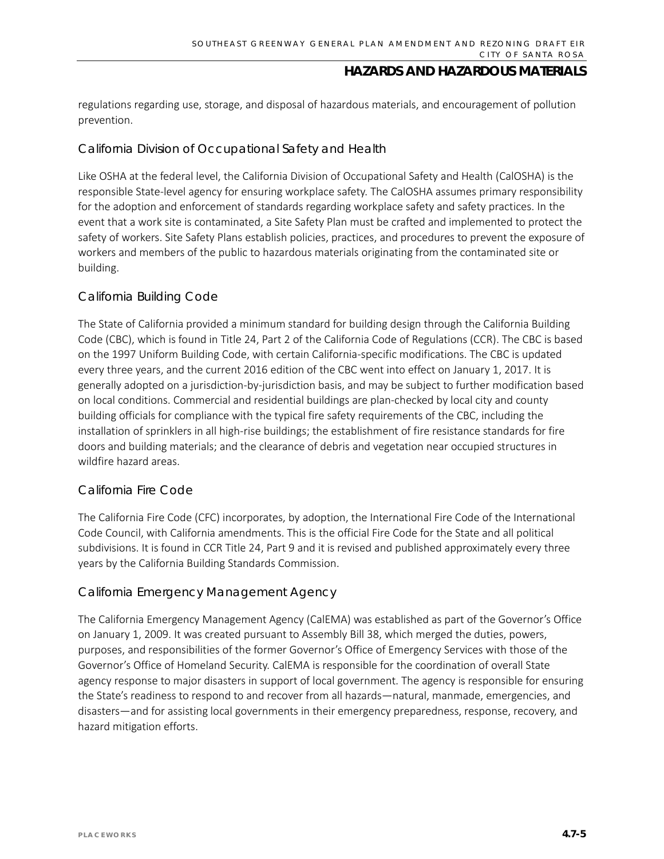regulations regarding use, storage, and disposal of hazardous materials, and encouragement of pollution prevention.

### *California Division of Occupational Safety and Health*

Like OSHA at the federal level, the California Division of Occupational Safety and Health (CalOSHA) is the responsible State-level agency for ensuring workplace safety. The CalOSHA assumes primary responsibility for the adoption and enforcement of standards regarding workplace safety and safety practices. In the event that a work site is contaminated, a Site Safety Plan must be crafted and implemented to protect the safety of workers. Site Safety Plans establish policies, practices, and procedures to prevent the exposure of workers and members of the public to hazardous materials originating from the contaminated site or building.

### *California Building Code*

The State of California provided a minimum standard for building design through the California Building Code (CBC), which is found in Title 24, Part 2 of the California Code of Regulations (CCR). The CBC is based on the 1997 Uniform Building Code, with certain California-specific modifications. The CBC is updated every three years, and the current 2016 edition of the CBC went into effect on January 1, 2017. It is generally adopted on a jurisdiction-by-jurisdiction basis, and may be subject to further modification based on local conditions. Commercial and residential buildings are plan-checked by local city and county building officials for compliance with the typical fire safety requirements of the CBC, including the installation of sprinklers in all high-rise buildings; the establishment of fire resistance standards for fire doors and building materials; and the clearance of debris and vegetation near occupied structures in wildfire hazard areas.

### *California Fire Code*

The California Fire Code (CFC) incorporates, by adoption, the International Fire Code of the International Code Council, with California amendments. This is the official Fire Code for the State and all political subdivisions. It is found in CCR Title 24, Part 9 and it is revised and published approximately every three years by the California Building Standards Commission.

#### *California Emergency Management Agency*

The California Emergency Management Agency (CalEMA) was established as part of the Governor's Office on January 1, 2009. It was created pursuant to Assembly Bill 38, which merged the duties, powers, purposes, and responsibilities of the former Governor's Office of Emergency Services with those of the Governor's Office of Homeland Security. CalEMA is responsible for the coordination of overall State agency response to major disasters in support of local government. The agency is responsible for ensuring the State's readiness to respond to and recover from all hazards—natural, manmade, emergencies, and disasters—and for assisting local governments in their emergency preparedness, response, recovery, and hazard mitigation efforts.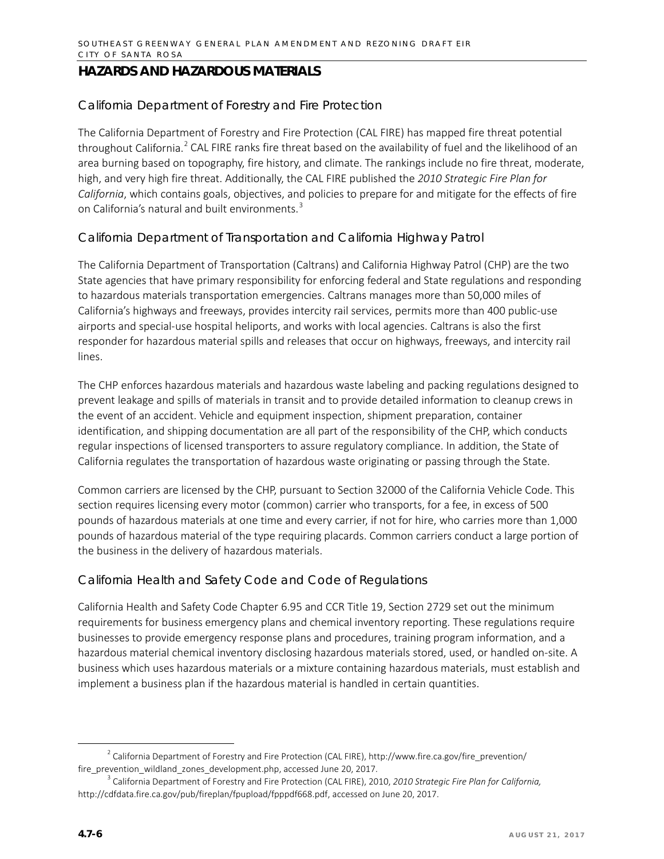#### *California Department of Forestry and Fire Protection*

The California Department of Forestry and Fire Protection (CAL FIRE) has mapped fire threat potential throughout California.<sup>[2](#page-5-0)</sup> CAL FIRE ranks fire threat based on the availability of fuel and the likelihood of an area burning based on topography, fire history, and climate. The rankings include no fire threat, moderate, high, and very high fire threat. Additionally, the CAL FIRE published the *2010 Strategic Fire Plan for California*, which contains goals, objectives, and policies to prepare for and mitigate for the effects of fire on California's natural and built environments.<sup>[3](#page-5-1)</sup>

### *California Department of Transportation and California Highway Patrol*

The California Department of Transportation (Caltrans) and California Highway Patrol (CHP) are the two State agencies that have primary responsibility for enforcing federal and State regulations and responding to hazardous materials transportation emergencies. Caltrans manages more than 50,000 miles of California's highways and freeways, provides intercity rail services, permits more than 400 public-use airports and special-use hospital heliports, and works with local agencies. Caltrans is also the first responder for hazardous material spills and releases that occur on highways, freeways, and intercity rail lines.

The CHP enforces hazardous materials and hazardous waste labeling and packing regulations designed to prevent leakage and spills of materials in transit and to provide detailed information to cleanup crews in the event of an accident. Vehicle and equipment inspection, shipment preparation, container identification, and shipping documentation are all part of the responsibility of the CHP, which conducts regular inspections of licensed transporters to assure regulatory compliance. In addition, the State of California regulates the transportation of hazardous waste originating or passing through the State.

Common carriers are licensed by the CHP, pursuant to Section 32000 of the California Vehicle Code. This section requires licensing every motor (common) carrier who transports, for a fee, in excess of 500 pounds of hazardous materials at one time and every carrier, if not for hire, who carries more than 1,000 pounds of hazardous material of the type requiring placards. Common carriers conduct a large portion of the business in the delivery of hazardous materials.

#### *California Health and Safety Code and Code of Regulations*

California Health and Safety Code Chapter 6.95 and CCR Title 19, Section 2729 set out the minimum requirements for business emergency plans and chemical inventory reporting. These regulations require businesses to provide emergency response plans and procedures, training program information, and a hazardous material chemical inventory disclosing hazardous materials stored, used, or handled on-site. A business which uses hazardous materials or a mixture containing hazardous materials, must establish and implement a business plan if the hazardous material is handled in certain quantities.

<span id="page-5-0"></span><sup>&</sup>lt;sup>2</sup> California Department of Forestry and Fire Protection (CAL FIRE), http://www.fire.ca.gov/fire\_prevention/ fire prevention wildland zones development.php, accessed June 20, 2017.

<span id="page-5-1"></span><sup>3</sup> California Department of Forestry and Fire Protection (CAL FIRE), 2010, *2010 Strategic Fire Plan for California,*  http://cdfdata.fire.ca.gov/pub/fireplan/fpupload/fpppdf668.pdf, accessed on June 20, 2017.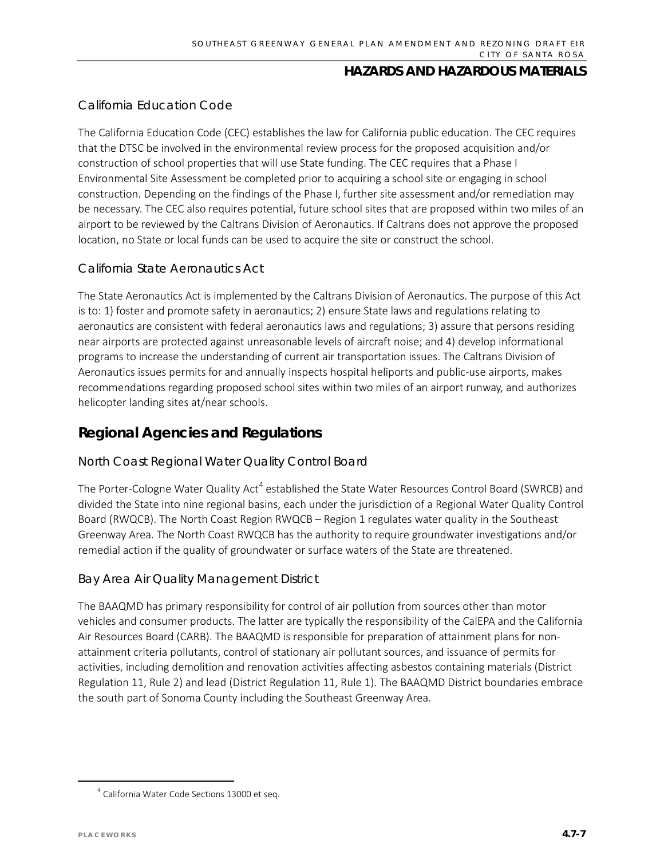### *California Education Code*

The California Education Code (CEC) establishes the law for California public education. The CEC requires that the DTSC be involved in the environmental review process for the proposed acquisition and/or construction of school properties that will use State funding. The CEC requires that a Phase I Environmental Site Assessment be completed prior to acquiring a school site or engaging in school construction. Depending on the findings of the Phase I, further site assessment and/or remediation may be necessary. The CEC also requires potential, future school sites that are proposed within two miles of an airport to be reviewed by the Caltrans Division of Aeronautics. If Caltrans does not approve the proposed location, no State or local funds can be used to acquire the site or construct the school.

### *California State Aeronautics Act*

The State Aeronautics Act is implemented by the Caltrans Division of Aeronautics. The purpose of this Act is to: 1) foster and promote safety in aeronautics; 2) ensure State laws and regulations relating to aeronautics are consistent with federal aeronautics laws and regulations; 3) assure that persons residing near airports are protected against unreasonable levels of aircraft noise; and 4) develop informational programs to increase the understanding of current air transportation issues. The Caltrans Division of Aeronautics issues permits for and annually inspects hospital heliports and public-use airports, makes recommendations regarding proposed school sites within two miles of an airport runway, and authorizes helicopter landing sites at/near schools.

### **Regional Agencies and Regulations**

#### *North Coast Regional Water Quality Control Board*

The Porter-Cologne Water Quality Act<sup>[4](#page-6-0)</sup> established the State Water Resources Control Board (SWRCB) and divided the State into nine regional basins, each under the jurisdiction of a Regional Water Quality Control Board (RWQCB). The North Coast Region RWQCB – Region 1 regulates water quality in the Southeast Greenway Area. The North Coast RWQCB has the authority to require groundwater investigations and/or remedial action if the quality of groundwater or surface waters of the State are threatened.

#### *Bay Area Air Quality Management District*

The BAAQMD has primary responsibility for control of air pollution from sources other than motor vehicles and consumer products. The latter are typically the responsibility of the CalEPA and the California Air Resources Board (CARB). The BAAQMD is responsible for preparation of attainment plans for nonattainment criteria pollutants, control of stationary air pollutant sources, and issuance of permits for activities, including demolition and renovation activities affecting asbestos containing materials (District Regulation 11, Rule 2) and lead (District Regulation 11, Rule 1). The BAAQMD District boundaries embrace the south part of Sonoma County including the Southeast Greenway Area.

<span id="page-6-0"></span><sup>&</sup>lt;sup>4</sup> California Water Code Sections 13000 et seq.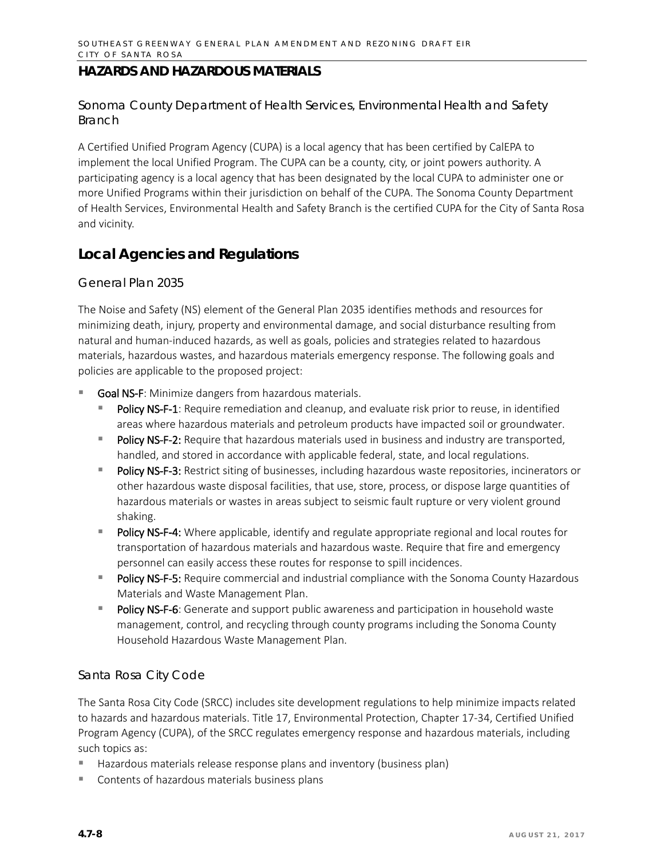#### *Sonoma County Department of Health Services, Environmental Health and Safety Branch*

A Certified Unified Program Agency (CUPA) is a local agency that has been certified by CalEPA to implement the local Unified Program. The CUPA can be a county, city, or joint powers authority. A participating agency is a local agency that has been designated by the local CUPA to administer one or more Unified Programs within their jurisdiction on behalf of the CUPA. The Sonoma County Department of Health Services, Environmental Health and Safety Branch is the certified CUPA for the City of Santa Rosa and vicinity.

### **Local Agencies and Regulations**

#### *General Plan 2035*

The Noise and Safety (NS) element of the General Plan 2035 identifies methods and resources for minimizing death, injury, property and environmental damage, and social disturbance resulting from natural and human-induced hazards, as well as goals, policies and strategies related to hazardous materials, hazardous wastes, and hazardous materials emergency response. The following goals and policies are applicable to the proposed project:

- Goal NS-F: Minimize dangers from hazardous materials.
	- Policy NS-F-1: Require remediation and cleanup, and evaluate risk prior to reuse, in identified areas where hazardous materials and petroleum products have impacted soil or groundwater.
	- Policy NS-F-2: Require that hazardous materials used in business and industry are transported, handled, and stored in accordance with applicable federal, state, and local regulations.
	- Policy NS-F-3: Restrict siting of businesses, including hazardous waste repositories, incinerators or other hazardous waste disposal facilities, that use, store, process, or dispose large quantities of hazardous materials or wastes in areas subject to seismic fault rupture or very violent ground shaking.
	- **Policy NS-F-4:** Where applicable, identify and regulate appropriate regional and local routes for transportation of hazardous materials and hazardous waste. Require that fire and emergency personnel can easily access these routes for response to spill incidences.
	- Policy NS-F-5: Require commercial and industrial compliance with the Sonoma County Hazardous Materials and Waste Management Plan.
	- Policy NS-F-6: Generate and support public awareness and participation in household waste management, control, and recycling through county programs including the Sonoma County Household Hazardous Waste Management Plan.

### *Santa Rosa City Code*

The Santa Rosa City Code (SRCC) includes site development regulations to help minimize impacts related to hazards and hazardous materials. Title 17, Environmental Protection, Chapter 17-34, Certified Unified Program Agency (CUPA), of the SRCC regulates emergency response and hazardous materials, including such topics as:

- Hazardous materials release response plans and inventory (business plan)
- Contents of hazardous materials business plans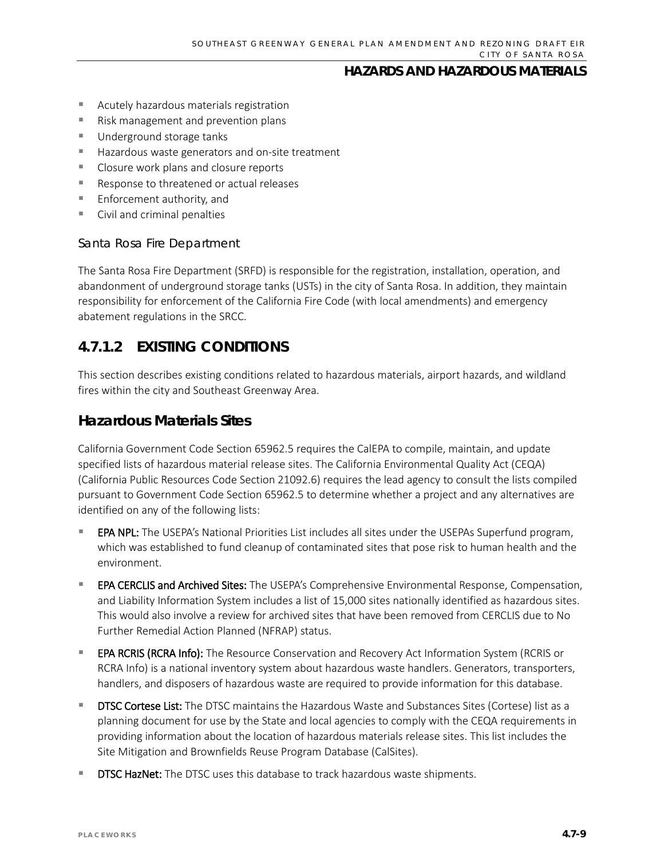- Acutely hazardous materials registration
- Risk management and prevention plans
- Underground storage tanks
- Hazardous waste generators and on-site treatment
- Closure work plans and closure reports
- Response to threatened or actual releases
- **Enforcement authority, and**
- **Civil and criminal penalties**

#### *Santa Rosa Fire Department*

The Santa Rosa Fire Department (SRFD) is responsible for the registration, installation, operation, and abandonment of underground storage tanks (USTs) in the city of Santa Rosa. In addition, they maintain responsibility for enforcement of the California Fire Code (with local amendments) and emergency abatement regulations in the SRCC.

### **4.7.1.2 EXISTING CONDITIONS**

This section describes existing conditions related to hazardous materials, airport hazards, and wildland fires within the city and Southeast Greenway Area.

### **Hazardous Materials Sites**

California Government Code Section 65962.5 requires the CalEPA to compile, maintain, and update specified lists of hazardous material release sites. The California Environmental Quality Act (CEQA) (California Public Resources Code Section 21092.6) requires the lead agency to consult the lists compiled pursuant to Government Code Section 65962.5 to determine whether a project and any alternatives are identified on any of the following lists:

- EPA NPL: The USEPA's National Priorities List includes all sites under the USEPAs Superfund program, which was established to fund cleanup of contaminated sites that pose risk to human health and the environment.
- EPA CERCLIS and Archived Sites: The USEPA's Comprehensive Environmental Response, Compensation, and Liability Information System includes a list of 15,000 sites nationally identified as hazardous sites. This would also involve a review for archived sites that have been removed from CERCLIS due to No Further Remedial Action Planned (NFRAP) status.
- EPA RCRIS (RCRA Info): The Resource Conservation and Recovery Act Information System (RCRIS or RCRA Info) is a national inventory system about hazardous waste handlers. Generators, transporters, handlers, and disposers of hazardous waste are required to provide information for this database.
- DTSC Cortese List: The DTSC maintains the Hazardous Waste and Substances Sites (Cortese) list as a planning document for use by the State and local agencies to comply with the CEQA requirements in providing information about the location of hazardous materials release sites. This list includes the Site Mitigation and Brownfields Reuse Program Database (CalSites).
- DTSC HazNet: The DTSC uses this database to track hazardous waste shipments.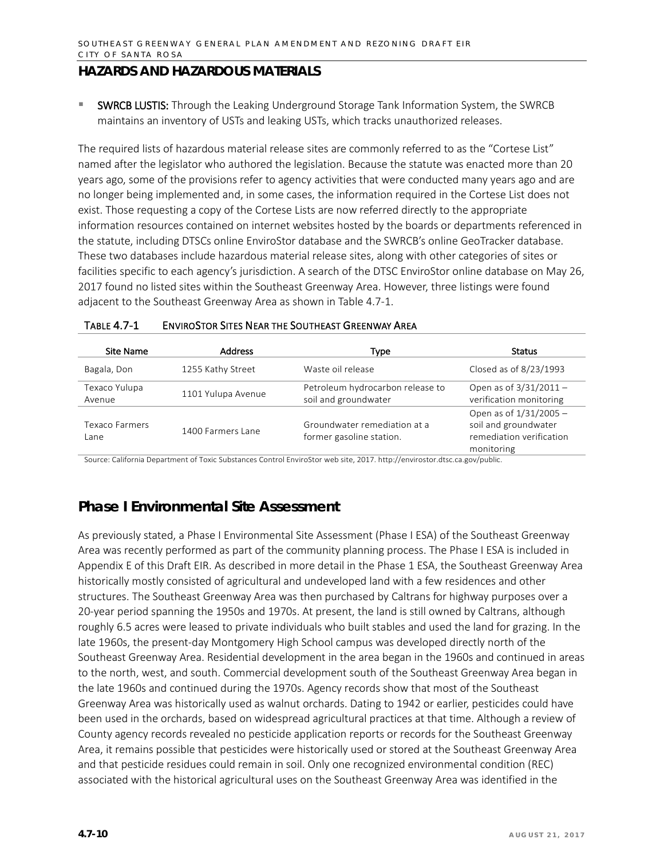SWRCB LUSTIS: Through the Leaking Underground Storage Tank Information System, the SWRCB maintains an inventory of USTs and leaking USTs, which tracks unauthorized releases.

The required lists of hazardous material release sites are commonly referred to as the "Cortese List" named after the legislator who authored the legislation. Because the statute was enacted more than 20 years ago, some of the provisions refer to agency activities that were conducted many years ago and are no longer being implemented and, in some cases, the information required in the Cortese List does not exist. Those requesting a copy of the Cortese Lists are now referred directly to the appropriate information resources contained on internet websites hosted by the boards or departments referenced in the statute, including DTSCs online EnviroStor database and the SWRCB's online GeoTracker database. These two databases include hazardous material release sites, along with other categories of sites or facilities specific to each agency's jurisdiction. A search of the DTSC EnviroStor online database on May 26, 2017 found no listed sites within the Southeast Greenway Area. However, three listings were found adjacent to the Southeast Greenway Area as shown in Table 4.7-1.

| Site Name               | <b>Address</b>     | Type                                                     | Status                                                                                   |
|-------------------------|--------------------|----------------------------------------------------------|------------------------------------------------------------------------------------------|
| Bagala, Don             | 1255 Kathy Street  | Waste oil release                                        | Closed as of 8/23/1993                                                                   |
| Texaco Yulupa<br>Avenue | 1101 Yulupa Avenue | Petroleum hydrocarbon release to<br>soil and groundwater | Open as of $3/31/2011 -$<br>verification monitoring                                      |
| Texaco Farmers<br>Lane  | 1400 Farmers Lane  | Groundwater remediation at a<br>former gasoline station. | Open as of 1/31/2005 -<br>soil and groundwater<br>remediation verification<br>monitoring |

| <b>TABLE 4.7-1</b> | <b>ENVIROSTOR SITES NEAR THE SOUTHEAST GREENWAY AREA</b> |
|--------------------|----------------------------------------------------------|
|                    |                                                          |

Source: California Department of Toxic Substances Control EnviroStor web site, 2017. http://envirostor.dtsc.ca.gov/public.

### **Phase I Environmental Site Assessment**

As previously stated, a Phase I Environmental Site Assessment (Phase I ESA) of the Southeast Greenway Area was recently performed as part of the community planning process. The Phase I ESA is included in Appendix E of this Draft EIR. As described in more detail in the Phase 1 ESA, the Southeast Greenway Area historically mostly consisted of agricultural and undeveloped land with a few residences and other structures. The Southeast Greenway Area was then purchased by Caltrans for highway purposes over a 20-year period spanning the 1950s and 1970s. At present, the land is still owned by Caltrans, although roughly 6.5 acres were leased to private individuals who built stables and used the land for grazing. In the late 1960s, the present-day Montgomery High School campus was developed directly north of the Southeast Greenway Area. Residential development in the area began in the 1960s and continued in areas to the north, west, and south. Commercial development south of the Southeast Greenway Area began in the late 1960s and continued during the 1970s. Agency records show that most of the Southeast Greenway Area was historically used as walnut orchards. Dating to 1942 or earlier, pesticides could have been used in the orchards, based on widespread agricultural practices at that time. Although a review of County agency records revealed no pesticide application reports or records for the Southeast Greenway Area, it remains possible that pesticides were historically used or stored at the Southeast Greenway Area and that pesticide residues could remain in soil. Only one recognized environmental condition (REC) associated with the historical agricultural uses on the Southeast Greenway Area was identified in the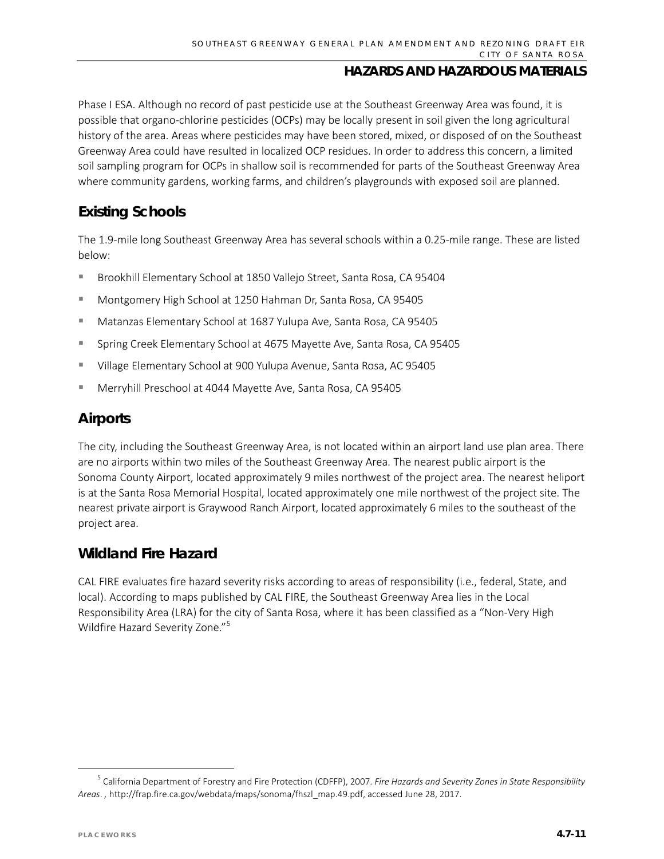Phase I ESA. Although no record of past pesticide use at the Southeast Greenway Area was found, it is possible that organo-chlorine pesticides (OCPs) may be locally present in soil given the long agricultural history of the area. Areas where pesticides may have been stored, mixed, or disposed of on the Southeast Greenway Area could have resulted in localized OCP residues. In order to address this concern, a limited soil sampling program for OCPs in shallow soil is recommended for parts of the Southeast Greenway Area where community gardens, working farms, and children's playgrounds with exposed soil are planned.

### **Existing Schools**

The 1.9-mile long Southeast Greenway Area has several schools within a 0.25-mile range. These are listed below:

- **Brookhill Elementary School at 1850 Vallejo Street, Santa Rosa, CA 95404**
- Montgomery High School at 1250 Hahman Dr, Santa Rosa, CA 95405
- Matanzas Elementary School at 1687 Yulupa Ave, Santa Rosa, CA 95405
- Spring Creek Elementary School at 4675 Mayette Ave, Santa Rosa, CA 95405
- Village Elementary School at 900 Yulupa Avenue, Santa Rosa, AC 95405
- Merryhill Preschool at 4044 Mayette Ave, Santa Rosa, CA 95405

### **Airports**

The city, including the Southeast Greenway Area, is not located within an airport land use plan area. There are no airports within two miles of the Southeast Greenway Area. The nearest public airport is the Sonoma County Airport, located approximately 9 miles northwest of the project area. The nearest heliport is at the Santa Rosa Memorial Hospital, located approximately one mile northwest of the project site. The nearest private airport is Graywood Ranch Airport, located approximately 6 miles to the southeast of the project area.

### **Wildland Fire Hazard**

CAL FIRE evaluates fire hazard severity risks according to areas of responsibility (i.e., federal, State, and local). According to maps published by CAL FIRE, the Southeast Greenway Area lies in the Local Responsibility Area (LRA) for the city of Santa Rosa, where it has been classified as a "Non-Very High Wildfire Hazard Severity Zone."<sup>[5](#page-10-0)</sup>

<span id="page-10-0"></span> <sup>5</sup> California Department of Forestry and Fire Protection (CDFFP), 2007. *Fire Hazards and Severity Zones in State Responsibility Areas*. *,* http://frap.fire.ca.gov/webdata/maps/sonoma/fhszl\_map.49.pdf, accessed June 28, 2017.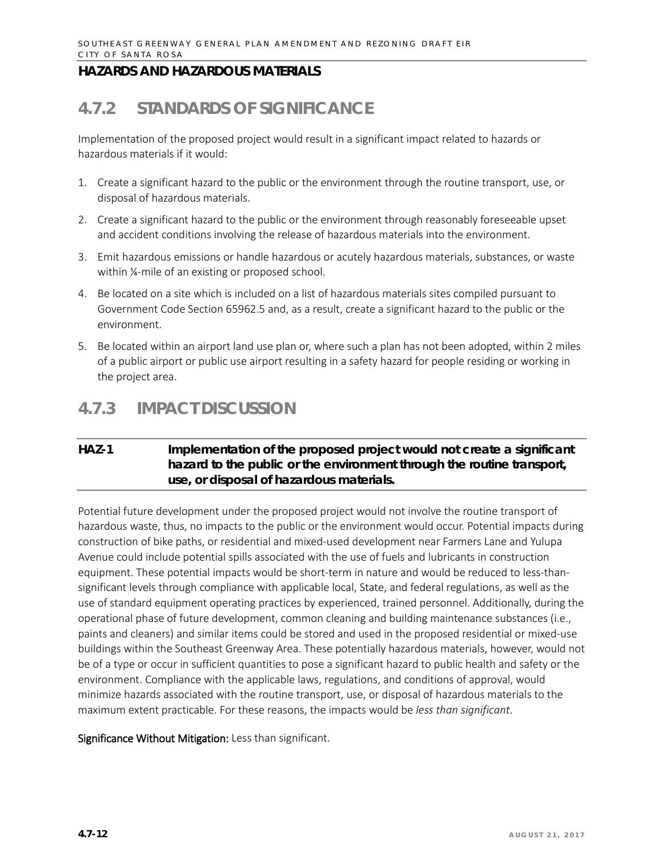# **4.7.2 STANDARDS OF SIGNIFICANCE**

Implementation of the proposed project would result in a significant impact related to hazards or hazardous materials if it would:

- 1. Create a significant hazard to the public or the environment through the routine transport, use, or disposal of hazardous materials.
- 2. Create a significant hazard to the public or the environment through reasonably foreseeable upset and accident conditions involving the release of hazardous materials into the environment.
- 3. Emit hazardous emissions or handle hazardous or acutely hazardous materials, substances, or waste within ¼-mile of an existing or proposed school.
- 4. Be located on a site which is included on a list of hazardous materials sites compiled pursuant to Government Code Section 65962.5 and, as a result, create a significant hazard to the public or the environment.
- 5. Be located within an airport land use plan or, where such a plan has not been adopted, within 2 miles of a public airport or public use airport resulting in a safety hazard for people residing or working in the project area.

## **4.7.3 IMPACT DISCUSSION**

### **HAZ-1 Implementation of the proposed project would not create a significant hazard to the public or the environment through the routine transport, use, or disposal of hazardous materials.**

Potential future development under the proposed project would not involve the routine transport of hazardous waste, thus, no impacts to the public or the environment would occur. Potential impacts during construction of bike paths, or residential and mixed-used development near Farmers Lane and Yulupa Avenue could include potential spills associated with the use of fuels and lubricants in construction equipment. These potential impacts would be short-term in nature and would be reduced to less-thansignificant levels through compliance with applicable local, State, and federal regulations, as well as the use of standard equipment operating practices by experienced, trained personnel. Additionally, during the operational phase of future development, common cleaning and building maintenance substances (i.e., paints and cleaners) and similar items could be stored and used in the proposed residential or mixed-use buildings within the Southeast Greenway Area. These potentially hazardous materials, however, would not be of a type or occur in sufficient quantities to pose a significant hazard to public health and safety or the environment. Compliance with the applicable laws, regulations, and conditions of approval, would minimize hazards associated with the routine transport, use, or disposal of hazardous materials to the maximum extent practicable. For these reasons, the impacts would be *less than significant*.

#### Significance Without Mitigation: Less than significant.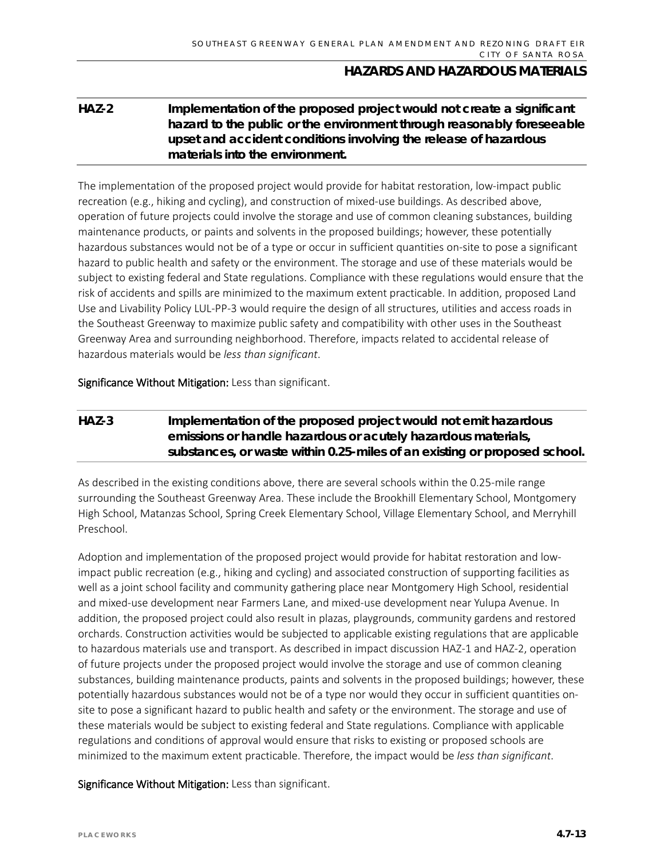### **HAZ-2 Implementation of the proposed project would not create a significant hazard to the public or the environment through reasonably foreseeable upset and accident conditions involving the release of hazardous materials into the environment.**

The implementation of the proposed project would provide for habitat restoration, low-impact public recreation (e.g., hiking and cycling), and construction of mixed-use buildings. As described above, operation of future projects could involve the storage and use of common cleaning substances, building maintenance products, or paints and solvents in the proposed buildings; however, these potentially hazardous substances would not be of a type or occur in sufficient quantities on-site to pose a significant hazard to public health and safety or the environment. The storage and use of these materials would be subject to existing federal and State regulations. Compliance with these regulations would ensure that the risk of accidents and spills are minimized to the maximum extent practicable. In addition, proposed Land Use and Livability Policy LUL-PP-3 would require the design of all structures, utilities and access roads in the Southeast Greenway to maximize public safety and compatibility with other uses in the Southeast Greenway Area and surrounding neighborhood. Therefore, impacts related to accidental release of hazardous materials would be *less than significant*.

Significance Without Mitigation: Less than significant.

### **HAZ-3 Implementation of the proposed project would not emit hazardous emissions or handle hazardous or acutely hazardous materials, substances, or waste within 0.25-miles of an existing or proposed school.**

As described in the existing conditions above, there are several schools within the 0.25-mile range surrounding the Southeast Greenway Area. These include the Brookhill Elementary School, Montgomery High School, Matanzas School, Spring Creek Elementary School, Village Elementary School, and Merryhill Preschool.

Adoption and implementation of the proposed project would provide for habitat restoration and lowimpact public recreation (e.g., hiking and cycling) and associated construction of supporting facilities as well as a joint school facility and community gathering place near Montgomery High School, residential and mixed-use development near Farmers Lane, and mixed-use development near Yulupa Avenue. In addition, the proposed project could also result in plazas, playgrounds, community gardens and restored orchards. Construction activities would be subjected to applicable existing regulations that are applicable to hazardous materials use and transport. As described in impact discussion HAZ-1 and HAZ-2, operation of future projects under the proposed project would involve the storage and use of common cleaning substances, building maintenance products, paints and solvents in the proposed buildings; however, these potentially hazardous substances would not be of a type nor would they occur in sufficient quantities onsite to pose a significant hazard to public health and safety or the environment. The storage and use of these materials would be subject to existing federal and State regulations. Compliance with applicable regulations and conditions of approval would ensure that risks to existing or proposed schools are minimized to the maximum extent practicable. Therefore, the impact would be *less than significant*.

Significance Without Mitigation: Less than significant.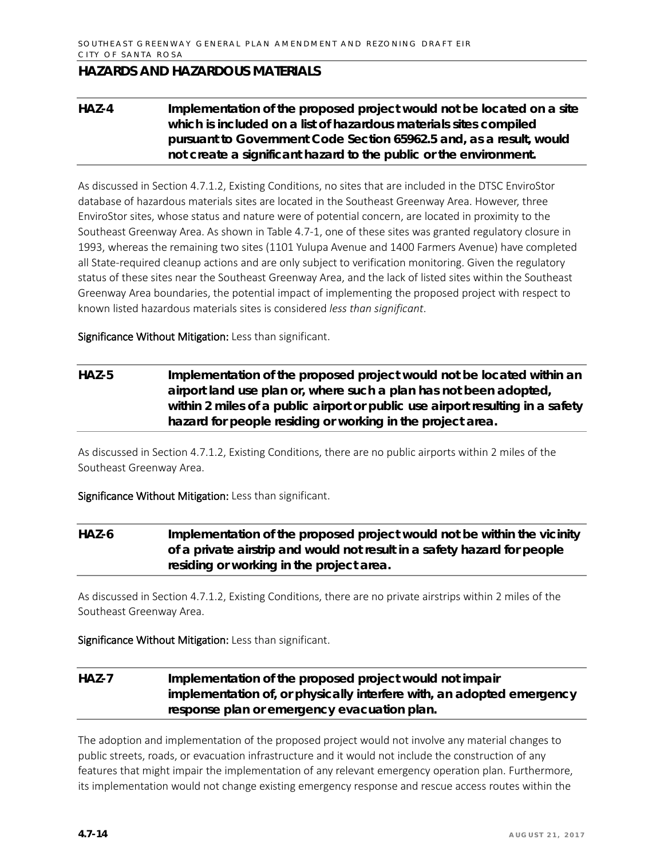### **HAZ-4 Implementation of the proposed project would not be located on a site which is included on a list of hazardous materials sites compiled pursuant to Government Code Section 65962.5 and, as a result, would not create a significant hazard to the public or the environment.**

As discussed in Section 4.7.1.2, Existing Conditions, no sites that are included in the DTSC EnviroStor database of hazardous materials sites are located in the Southeast Greenway Area. However, three EnviroStor sites, whose status and nature were of potential concern, are located in proximity to the Southeast Greenway Area. As shown in Table 4.7-1, one of these sites was granted regulatory closure in 1993, whereas the remaining two sites (1101 Yulupa Avenue and 1400 Farmers Avenue) have completed all State-required cleanup actions and are only subject to verification monitoring. Given the regulatory status of these sites near the Southeast Greenway Area, and the lack of listed sites within the Southeast Greenway Area boundaries, the potential impact of implementing the proposed project with respect to known listed hazardous materials sites is considered *less than significant*.

Significance Without Mitigation: Less than significant.

### **HAZ-5 Implementation of the proposed project would not be located within an airport land use plan or, where such a plan has not been adopted, within 2 miles of a public airport or public use airport resulting in a safety hazard for people residing or working in the project area.**

As discussed in Section 4.7.1.2, Existing Conditions, there are no public airports within 2 miles of the Southeast Greenway Area.

Significance Without Mitigation: Less than significant.

### **HAZ-6 Implementation of the proposed project would not be within the vicinity of a private airstrip and would not result in a safety hazard for people residing or working in the project area.**

As discussed in Section 4.7.1.2, Existing Conditions, there are no private airstrips within 2 miles of the Southeast Greenway Area.

Significance Without Mitigation: Less than significant.

### **HAZ-7 Implementation of the proposed project would not impair implementation of, or physically interfere with, an adopted emergency response plan or emergency evacuation plan.**

The adoption and implementation of the proposed project would not involve any material changes to public streets, roads, or evacuation infrastructure and it would not include the construction of any features that might impair the implementation of any relevant emergency operation plan. Furthermore, its implementation would not change existing emergency response and rescue access routes within the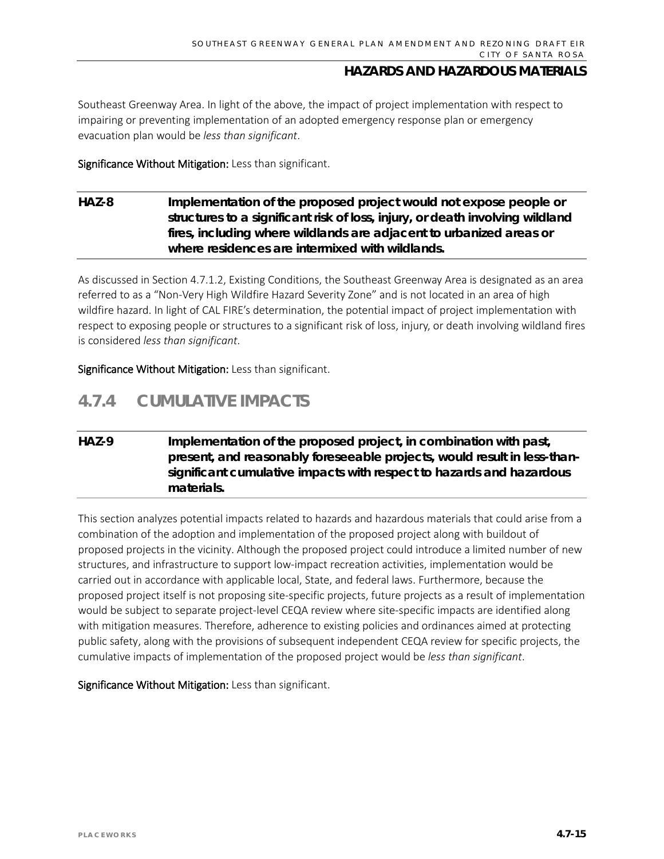Southeast Greenway Area. In light of the above, the impact of project implementation with respect to impairing or preventing implementation of an adopted emergency response plan or emergency evacuation plan would be *less than significant*.

Significance Without Mitigation: Less than significant.

### **HAZ-8 Implementation of the proposed project would not expose people or structures to a significant risk of loss, injury, or death involving wildland fires, including where wildlands are adjacent to urbanized areas or where residences are intermixed with wildlands.**

As discussed in Section 4.7.1.2, Existing Conditions, the Southeast Greenway Area is designated as an area referred to as a "Non-Very High Wildfire Hazard Severity Zone" and is not located in an area of high wildfire hazard. In light of CAL FIRE's determination, the potential impact of project implementation with respect to exposing people or structures to a significant risk of loss, injury, or death involving wildland fires is considered *less than significant*.

Significance Without Mitigation: Less than significant.

# **4.7.4 CUMULATIVE IMPACTS**

### **HAZ-9 Implementation of the proposed project, in combination with past, present, and reasonably foreseeable projects, would result in less-thansignificant cumulative impacts with respect to hazards and hazardous materials.**

This section analyzes potential impacts related to hazards and hazardous materials that could arise from a combination of the adoption and implementation of the proposed project along with buildout of proposed projects in the vicinity. Although the proposed project could introduce a limited number of new structures, and infrastructure to support low-impact recreation activities, implementation would be carried out in accordance with applicable local, State, and federal laws. Furthermore, because the proposed project itself is not proposing site-specific projects, future projects as a result of implementation would be subject to separate project-level CEQA review where site-specific impacts are identified along with mitigation measures. Therefore, adherence to existing policies and ordinances aimed at protecting public safety, along with the provisions of subsequent independent CEQA review for specific projects, the cumulative impacts of implementation of the proposed project would be *less than significant*.

Significance Without Mitigation: Less than significant.